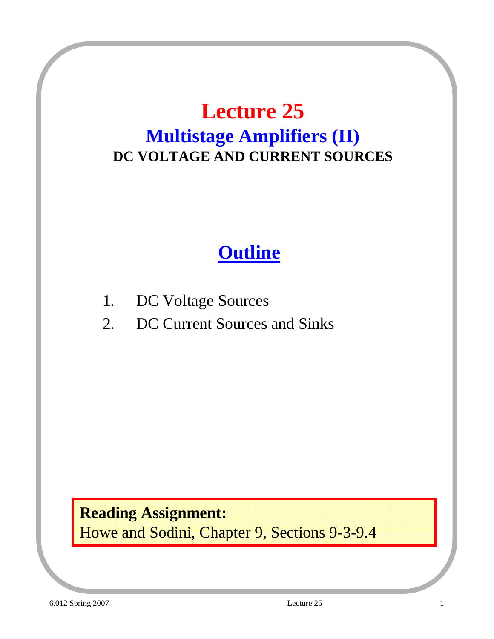### **Lecture 25 Multistage Amplifiers (II) DC VOLTAGE AND CURRENT SOURCES**

### **Outline**

- 1. DC Voltage Sources
- 2. DC Current Sources and Sinks

**Reading Assignment:** Howe and Sodini, Chapter 9, Sections 9-3-9.4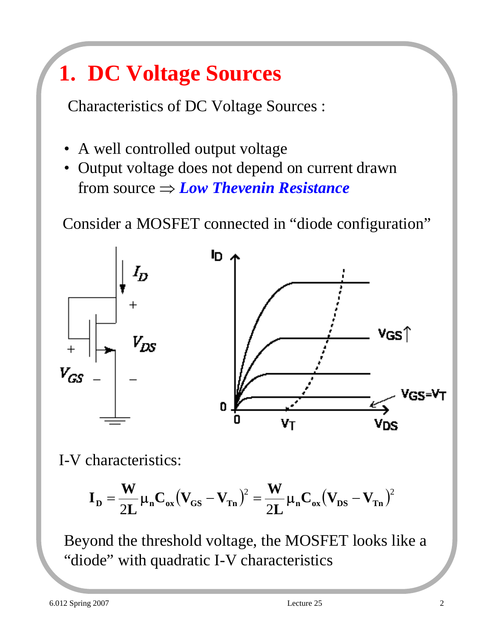## **1. DC Voltage Sources**

Characteristics of DC Voltage Sources :

- A well controlled output voltage
- Output voltage does not depend on current drawn from source ⇒ *Low Thevenin Resistance*

Consider a MOSFET connected in "diode configuration"



I-V characteristics:

$$
\boldsymbol{I}_\mathrm{D} = \frac{\boldsymbol{W}}{2L} \boldsymbol{\mu}_\mathrm{n} \boldsymbol{C}_\mathrm{ox} \big( \boldsymbol{V}_{\mathrm{GS}} - \boldsymbol{V}_{\mathrm{Ta}} \big)^2 = \frac{\boldsymbol{W}}{2L} \boldsymbol{\mu}_\mathrm{n} \boldsymbol{C}_\mathrm{ox} \big( \boldsymbol{V}_{\mathrm{DS}} - \boldsymbol{V}_{\mathrm{Ta}} \big)^2
$$

Beyond the threshold voltage, the MOSFET looks like a "diode" with quadratic I-V characteristics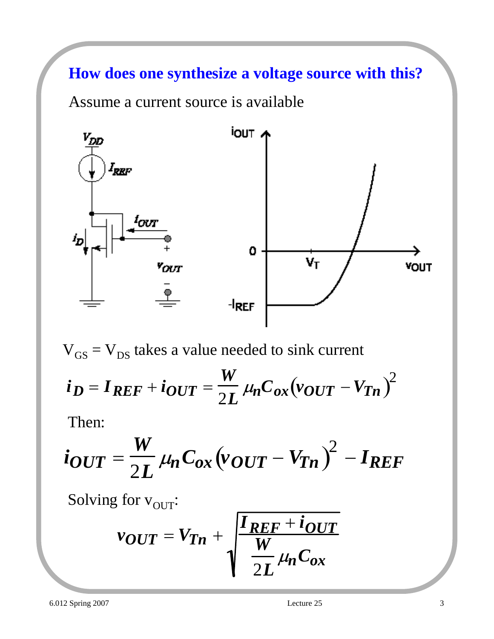#### **How does one synthesize a voltage source with this?**

Assume a current source is available



 $V_{GS} = V_{DS}$  takes a value needed to sink current  $\boldsymbol{i_D} = \boldsymbol{I_{REF}} + \boldsymbol{i_{OUT}} =$ *W*  $\frac{W}{2L} \mu_n C_{ox} (v_{OUT} - V_{Tn})^2$ 

Then:

$$
i_{OUT} = \frac{W}{2L} \mu_n C_{ox} (v_{OUT} - V_{Tn})^2 - I_{REF}
$$

Solving for  $v_{\text{OUT}}$ :

$$
v_{OUT} = V_{Tn} + \sqrt{\frac{I_{REF} + i_{OUT}}{V_{2L}} \mu_n C_{ox}}
$$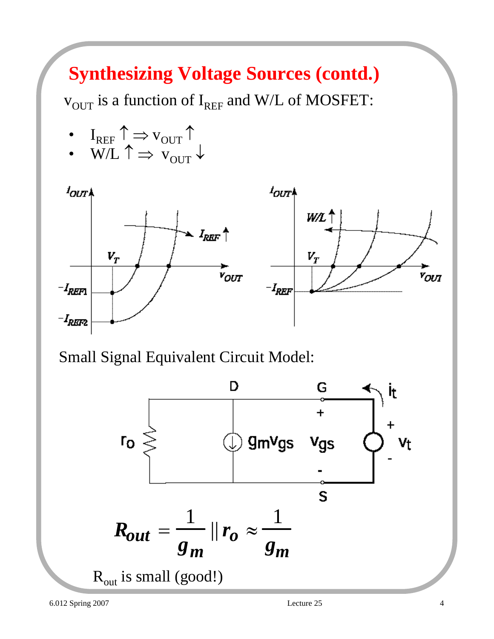## **Synthesizing Voltage Sources (contd.)**

 $v_{\text{OUT}}$  is a function of I<sub>REF</sub> and W/L of MOSFET:

• 
$$
I_{REF} \uparrow \Rightarrow v_{OUT} \uparrow
$$
  
•  $W/I \uparrow \Rightarrow v_{OUT} \uparrow$ 

 $W/L \perp \Rightarrow V_{\text{OUT}} \downarrow$ 



Small Signal Equivalent Circuit Model:

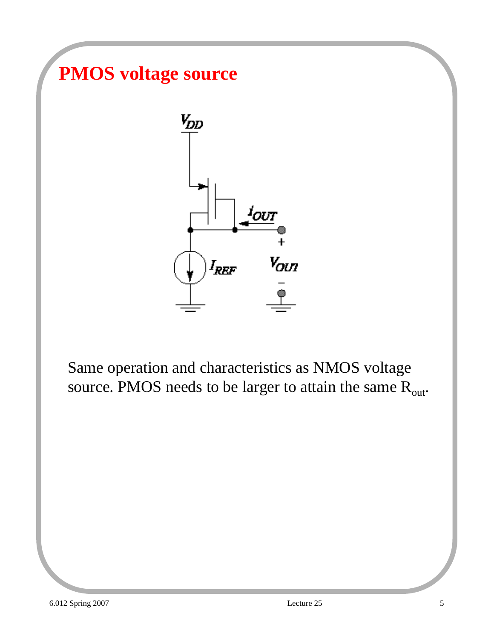### **PMOS voltage source**



Same operation and characteristics as NMOS voltage source. PMOS needs to be larger to attain the same  $R_{out}$ .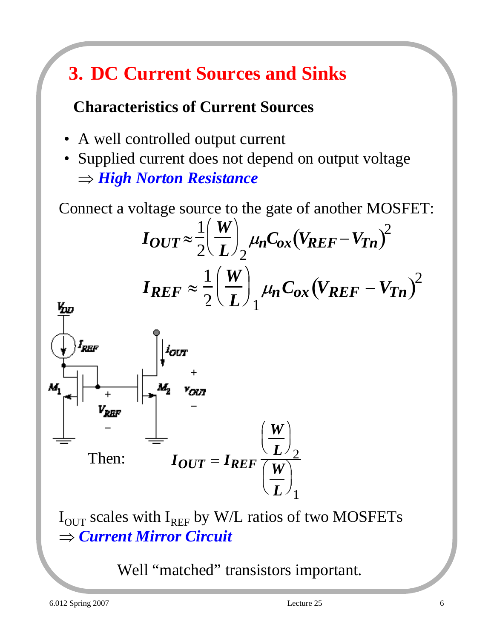## **3. DC Current Sources and Sinks**

#### **Characteristics of Current Sources**

- A well controlled output current
- Supplied current does not depend on output voltage ⇒ *High Norton Resistance*

Connect a voltage source to the gate of another MOSFET:

$$
I_{OUT} \approx \frac{1}{2} \left(\frac{W}{L}\right)_{2} \mu_{n} C_{ox} (V_{REF} - V_{Tn})^{2}
$$

$$
I_{REF} \approx \frac{1}{2} \left(\frac{W}{L}\right)_{1} \mu_{n} C_{ox} (V_{REF} - V_{Tn})^{2}
$$



 $I_{\text{OUT}}$  scales with  $I_{\text{REF}}$  by W/L ratios of two MOSFETs ⇒ *Current Mirror Circuit*

Well "matched" transistors important.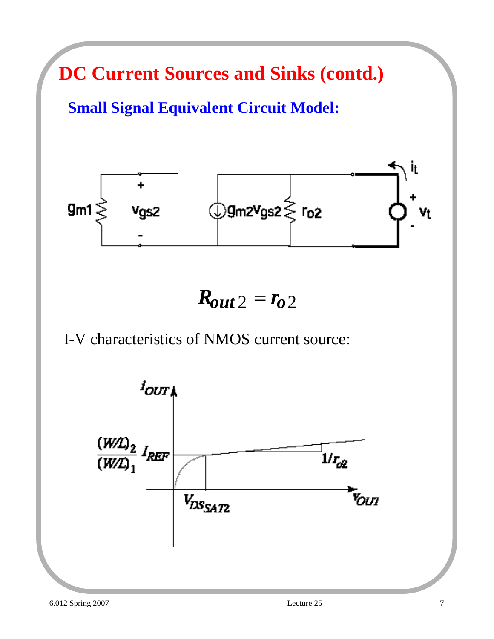**DC Current Sources and Sinks (contd.)**

**Small Signal Equivalent Circuit Model:**



 $R_{out2} = r_{02}$ 

#### I-V characteristics of NMOS current source:

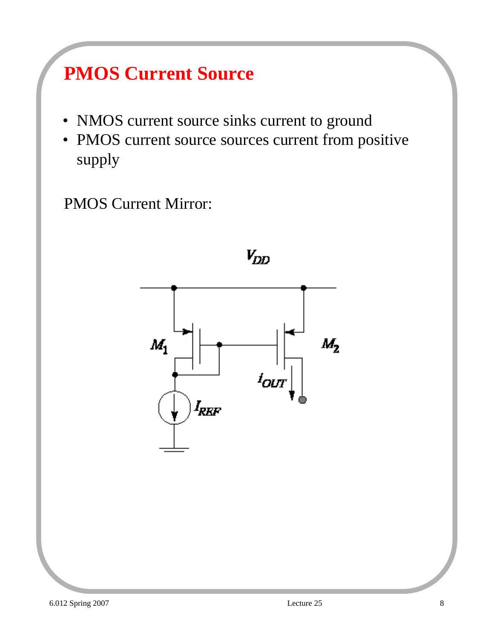## **PMOS Current Source**

- NMOS current source sinks current to ground
- PMOS current source sources current from positive supply

PMOS Current Mirror:

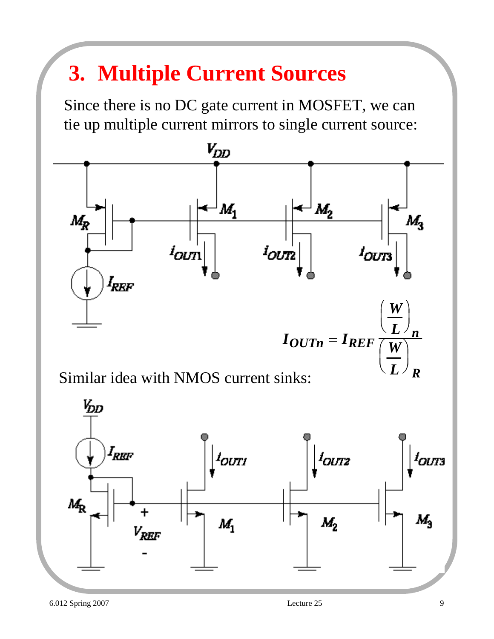## **3. Multiple Current Sources**

Since there is no DC gate current in MOSFET, we can tie up multiple current mirrors to single current source:



Similar idea with NMOS current sinks:



*R*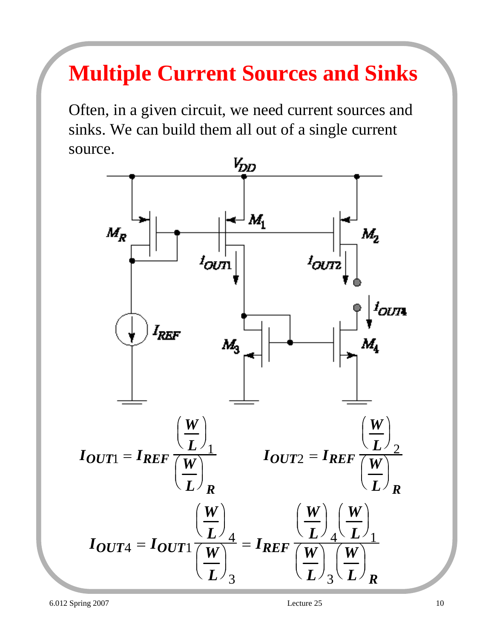# **Multiple Current Sources and Sinks**

Often, in a given circuit, we need current sources and sinks. We can build them all out of a single current source.

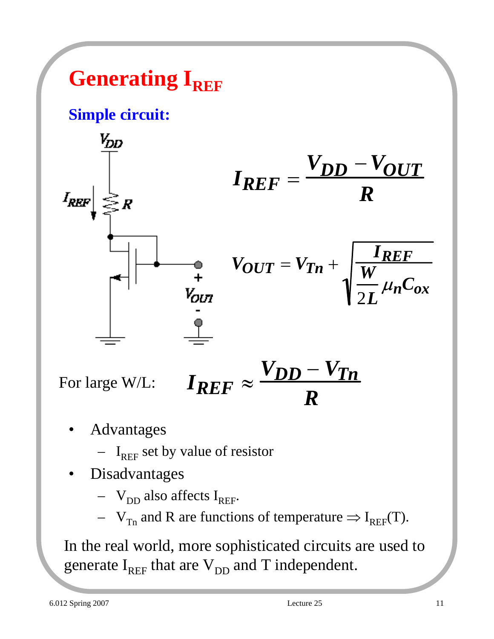## **Generating I<sub>REF</sub>**

#### **Simple circuit:**



$$
I_{REF} = \frac{V_{DD} - V_{OUT}}{R}
$$

$$
V_{OUT} = V_{Tn} + \sqrt{\frac{I_{REF}}{V_{2L}} \mu_n C_{ox}}
$$

For large W/L:

$$
I_{REF}\approx\frac{V_{DD}-V_{Tn}}{R}
$$

- **Advantages** 
	- $I_{REF}$  set by value of resistor
- **Disadvantages** 
	- $V_{DD}$  also affects  $I_{REF}$ .
	- $V_{Tn}$  and R are functions of temperature  $\Rightarrow I_{REF}(T)$ .

In the real world, more sophisticated circuits are used to generate  $I_{REF}$  that are  $V_{DD}$  and T independent.